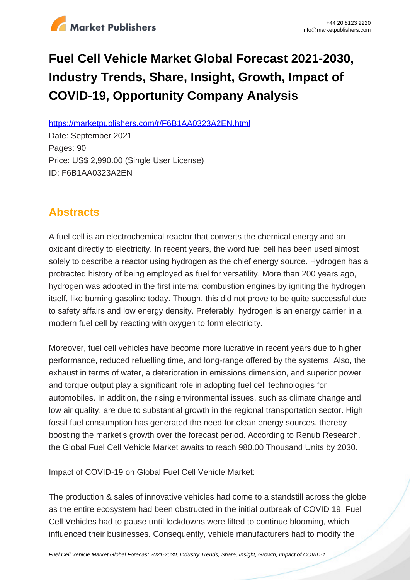

# **Fuel Cell Vehicle Market Global Forecast 2021-2030, Industry Trends, Share, Insight, Growth, Impact of COVID-19, Opportunity Company Analysis**

https://marketpublishers.com/r/F6B1AA0323A2EN.html

Date: September 2021 Pages: 90 Price: US\$ 2,990.00 (Single User License) ID: F6B1AA0323A2EN

# **Abstracts**

A fuel cell is an electrochemical reactor that converts the chemical energy and an oxidant directly to electricity. In recent years, the word fuel cell has been used almost solely to describe a reactor using hydrogen as the chief energy source. Hydrogen has a protracted history of being employed as fuel for versatility. More than 200 years ago, hydrogen was adopted in the first internal combustion engines by igniting the hydrogen itself, like burning gasoline today. Though, this did not prove to be quite successful due to safety affairs and low energy density. Preferably, hydrogen is an energy carrier in a modern fuel cell by reacting with oxygen to form electricity.

Moreover, fuel cell vehicles have become more lucrative in recent years due to higher performance, reduced refuelling time, and long-range offered by the systems. Also, the exhaust in terms of water, a deterioration in emissions dimension, and superior power and torque output play a significant role in adopting fuel cell technologies for automobiles. In addition, the rising environmental issues, such as climate change and low air quality, are due to substantial growth in the regional transportation sector. High fossil fuel consumption has generated the need for clean energy sources, thereby boosting the market's growth over the forecast period. According to Renub Research, the Global Fuel Cell Vehicle Market awaits to reach 980.00 Thousand Units by 2030.

Impact of COVID-19 on Global Fuel Cell Vehicle Market:

The production & sales of innovative vehicles had come to a standstill across the globe as the entire ecosystem had been obstructed in the initial outbreak of COVID 19. Fuel Cell Vehicles had to pause until lockdowns were lifted to continue blooming, which influenced their businesses. Consequently, vehicle manufacturers had to modify the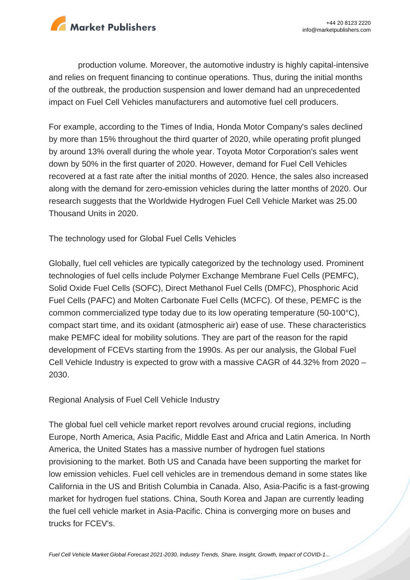

production volume. Moreover, the automotive industry is highly capital-intensive and relies on frequent financing to continue operations. Thus, during the initial months of the outbreak, the production suspension and lower demand had an unprecedented impact on Fuel Cell Vehicles manufacturers and automotive fuel cell producers.

For example, according to the Times of India, Honda Motor Company's sales declined by more than 15% throughout the third quarter of 2020, while operating profit plunged by around 13% overall during the whole year. Toyota Motor Corporation's sales went down by 50% in the first quarter of 2020. However, demand for Fuel Cell Vehicles recovered at a fast rate after the initial months of 2020. Hence, the sales also increased along with the demand for zero-emission vehicles during the latter months of 2020. Our research suggests that the Worldwide Hydrogen Fuel Cell Vehicle Market was 25.00 Thousand Units in 2020.

The technology used for Global Fuel Cells Vehicles

Globally, fuel cell vehicles are typically categorized by the technology used. Prominent technologies of fuel cells include Polymer Exchange Membrane Fuel Cells (PEMFC), Solid Oxide Fuel Cells (SOFC), Direct Methanol Fuel Cells (DMFC), Phosphoric Acid Fuel Cells (PAFC) and Molten Carbonate Fuel Cells (MCFC). Of these, PEMFC is the common commercialized type today due to its low operating temperature (50-100°C), compact start time, and its oxidant (atmospheric air) ease of use. These characteristics make PEMFC ideal for mobility solutions. They are part of the reason for the rapid development of FCEVs starting from the 1990s. As per our analysis, the Global Fuel Cell Vehicle Industry is expected to grow with a massive CAGR of 44.32% from 2020 – 2030.

Regional Analysis of Fuel Cell Vehicle Industry

The global fuel cell vehicle market report revolves around crucial regions, including Europe, North America, Asia Pacific, Middle East and Africa and Latin America. In North America, the United States has a massive number of hydrogen fuel stations provisioning to the market. Both US and Canada have been supporting the market for low emission vehicles. Fuel cell vehicles are in tremendous demand in some states like California in the US and British Columbia in Canada. Also, Asia-Pacific is a fast-growing market for hydrogen fuel stations. China, South Korea and Japan are currently leading the fuel cell vehicle market in Asia-Pacific. China is converging more on buses and trucks for FCEV's.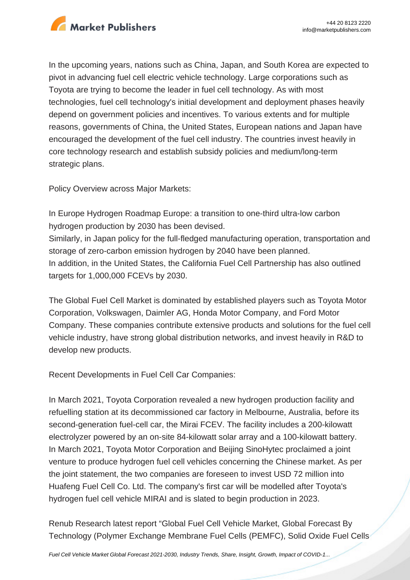

In the upcoming years, nations such as China, Japan, and South Korea are expected to pivot in advancing fuel cell electric vehicle technology. Large corporations such as Toyota are trying to become the leader in fuel cell technology. As with most technologies, fuel cell technology's initial development and deployment phases heavily depend on government policies and incentives. To various extents and for multiple reasons, governments of China, the United States, European nations and Japan have encouraged the development of the fuel cell industry. The countries invest heavily in core technology research and establish subsidy policies and medium/long-term strategic plans.

Policy Overview across Major Markets:

In Europe Hydrogen Roadmap Europe: a transition to one-third ultra-low carbon hydrogen production by 2030 has been devised. Similarly, in Japan policy for the full-fledged manufacturing operation, transportation and storage of zero-carbon emission hydrogen by 2040 have been planned. In addition, in the United States, the California Fuel Cell Partnership has also outlined targets for 1,000,000 FCEVs by 2030.

The Global Fuel Cell Market is dominated by established players such as Toyota Motor Corporation, Volkswagen, Daimler AG, Honda Motor Company, and Ford Motor Company. These companies contribute extensive products and solutions for the fuel cell vehicle industry, have strong global distribution networks, and invest heavily in R&D to develop new products.

Recent Developments in Fuel Cell Car Companies:

In March 2021, Toyota Corporation revealed a new hydrogen production facility and refuelling station at its decommissioned car factory in Melbourne, Australia, before its second-generation fuel-cell car, the Mirai FCEV. The facility includes a 200-kilowatt electrolyzer powered by an on-site 84-kilowatt solar array and a 100-kilowatt battery. In March 2021, Toyota Motor Corporation and Beijing SinoHytec proclaimed a joint venture to produce hydrogen fuel cell vehicles concerning the Chinese market. As per the joint statement, the two companies are foreseen to invest USD 72 million into Huafeng Fuel Cell Co. Ltd. The company's first car will be modelled after Toyota's hydrogen fuel cell vehicle MIRAI and is slated to begin production in 2023.

Renub Research latest report "Global Fuel Cell Vehicle Market, Global Forecast By Technology (Polymer Exchange Membrane Fuel Cells (PEMFC), Solid Oxide Fuel Cells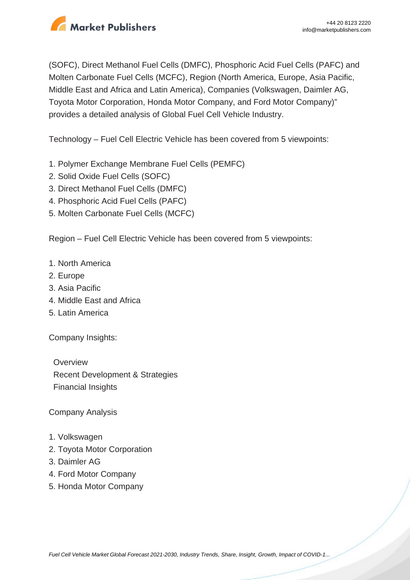

(SOFC), Direct Methanol Fuel Cells (DMFC), Phosphoric Acid Fuel Cells (PAFC) and Molten Carbonate Fuel Cells (MCFC), Region (North America, Europe, Asia Pacific, Middle East and Africa and Latin America), Companies (Volkswagen, Daimler AG, Toyota Motor Corporation, Honda Motor Company, and Ford Motor Company)" provides a detailed analysis of Global Fuel Cell Vehicle Industry.

Technology – Fuel Cell Electric Vehicle has been covered from 5 viewpoints:

- 1. Polymer Exchange Membrane Fuel Cells (PEMFC)
- 2. Solid Oxide Fuel Cells (SOFC)
- 3. Direct Methanol Fuel Cells (DMFC)
- 4. Phosphoric Acid Fuel Cells (PAFC)
- 5. Molten Carbonate Fuel Cells (MCFC)

Region – Fuel Cell Electric Vehicle has been covered from 5 viewpoints:

- 1. North America
- 2. Europe
- 3. Asia Pacific
- 4. Middle East and Africa
- 5. Latin America

Company Insights:

**Overview**  Recent Development & Strategies Financial Insights

Company Analysis

- 1. Volkswagen
- 2. Toyota Motor Corporation
- 3. Daimler AG
- 4. Ford Motor Company
- 5. Honda Motor Company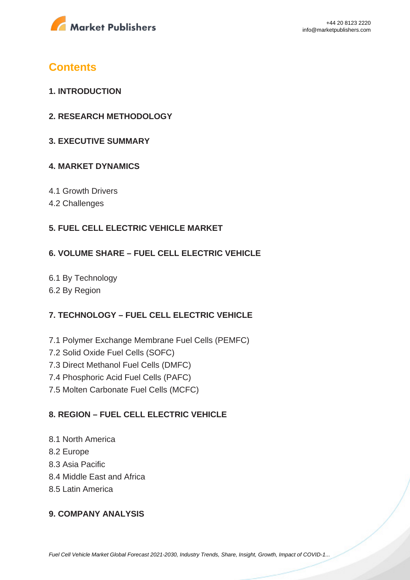

## **Contents**

- **1. INTRODUCTION**
- **2. RESEARCH METHODOLOGY**
- **3. EXECUTIVE SUMMARY**

#### **4. MARKET DYNAMICS**

- 4.1 Growth Drivers
- 4.2 Challenges

### **5. FUEL CELL ELECTRIC VEHICLE MARKET**

#### **6. VOLUME SHARE – FUEL CELL ELECTRIC VEHICLE**

6.1 By Technology 6.2 By Region

### **7. TECHNOLOGY – FUEL CELL ELECTRIC VEHICLE**

- 7.1 Polymer Exchange Membrane Fuel Cells (PEMFC)
- 7.2 Solid Oxide Fuel Cells (SOFC)
- 7.3 Direct Methanol Fuel Cells (DMFC)
- 7.4 Phosphoric Acid Fuel Cells (PAFC)
- 7.5 Molten Carbonate Fuel Cells (MCFC)

### **8. REGION – FUEL CELL ELECTRIC VEHICLE**

- 8.1 North America
- 8.2 Europe
- 8.3 Asia Pacific
- 8.4 Middle East and Africa
- 8.5 Latin America

#### **9. COMPANY ANALYSIS**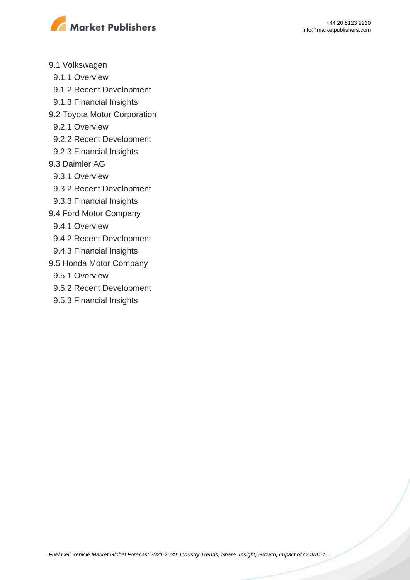

- 9.1 Volkswagen
	- 9.1.1 Overview
	- 9.1.2 Recent Development
	- 9.1.3 Financial Insights
- 9.2 Toyota Motor Corporation
	- 9.2.1 Overview
	- 9.2.2 Recent Development
	- 9.2.3 Financial Insights
- 9.3 Daimler AG
- 9.3.1 Overview
- 9.3.2 Recent Development
- 9.3.3 Financial Insights
- 9.4 Ford Motor Company
- 9.4.1 Overview
- 9.4.2 Recent Development
- 9.4.3 Financial Insights
- 9.5 Honda Motor Company
- 9.5.1 Overview
- 9.5.2 Recent Development
- 9.5.3 Financial Insights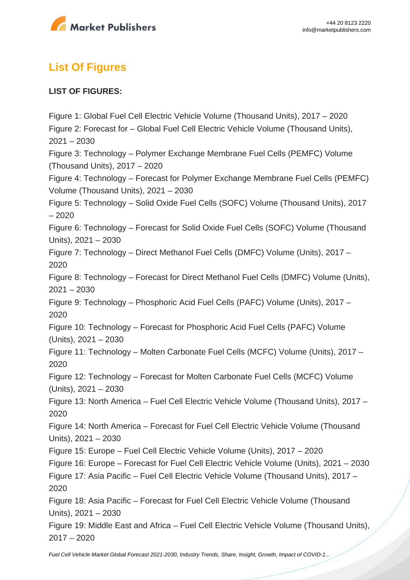

# **List Of Figures**

#### **LIST OF FIGURES:**

Figure 1: Global Fuel Cell Electric Vehicle Volume (Thousand Units), 2017 – 2020 Figure 2: Forecast for – Global Fuel Cell Electric Vehicle Volume (Thousand Units),  $2021 - 2030$ Figure 3: Technology – Polymer Exchange Membrane Fuel Cells (PEMFC) Volume (Thousand Units), 2017 – 2020 Figure 4: Technology – Forecast for Polymer Exchange Membrane Fuel Cells (PEMFC) Volume (Thousand Units), 2021 – 2030 Figure 5: Technology – Solid Oxide Fuel Cells (SOFC) Volume (Thousand Units), 2017 – 2020 Figure 6: Technology – Forecast for Solid Oxide Fuel Cells (SOFC) Volume (Thousand Units), 2021 – 2030 Figure 7: Technology – Direct Methanol Fuel Cells (DMFC) Volume (Units), 2017 – 2020 Figure 8: Technology – Forecast for Direct Methanol Fuel Cells (DMFC) Volume (Units),  $2021 - 2030$ Figure 9: Technology – Phosphoric Acid Fuel Cells (PAFC) Volume (Units), 2017 – 2020 Figure 10: Technology – Forecast for Phosphoric Acid Fuel Cells (PAFC) Volume (Units), 2021 – 2030 Figure 11: Technology – Molten Carbonate Fuel Cells (MCFC) Volume (Units), 2017 – 2020 Figure 12: Technology – Forecast for Molten Carbonate Fuel Cells (MCFC) Volume (Units), 2021 – 2030 Figure 13: North America – Fuel Cell Electric Vehicle Volume (Thousand Units), 2017 – 2020 Figure 14: North America – Forecast for Fuel Cell Electric Vehicle Volume (Thousand Units), 2021 – 2030 Figure 15: Europe – Fuel Cell Electric Vehicle Volume (Units), 2017 – 2020 Figure 16: Europe – Forecast for Fuel Cell Electric Vehicle Volume (Units), 2021 – 2030 Figure 17: Asia Pacific – Fuel Cell Electric Vehicle Volume (Thousand Units), 2017 – 2020 Figure 18: Asia Pacific – Forecast for Fuel Cell Electric Vehicle Volume (Thousand Units), 2021 – 2030 Figure 19: Middle East and Africa – Fuel Cell Electric Vehicle Volume (Thousand Units), 2017 – 2020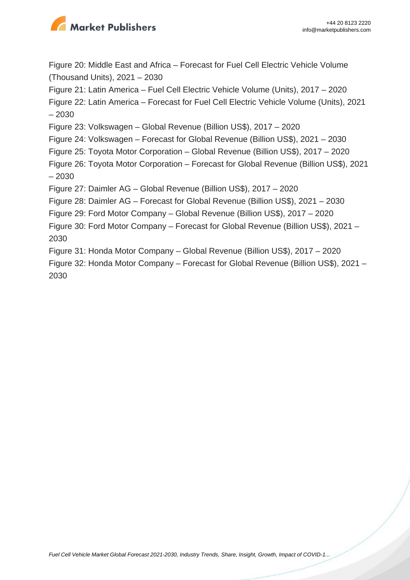

Figure 20: Middle East and Africa – Forecast for Fuel Cell Electric Vehicle Volume (Thousand Units), 2021 – 2030

Figure 21: Latin America – Fuel Cell Electric Vehicle Volume (Units), 2017 – 2020

Figure 22: Latin America – Forecast for Fuel Cell Electric Vehicle Volume (Units), 2021 – 2030

Figure 23: Volkswagen – Global Revenue (Billion US\$), 2017 – 2020

Figure 24: Volkswagen – Forecast for Global Revenue (Billion US\$), 2021 – 2030

Figure 25: Toyota Motor Corporation – Global Revenue (Billion US\$), 2017 – 2020

Figure 26: Toyota Motor Corporation – Forecast for Global Revenue (Billion US\$), 2021 – 2030

Figure 27: Daimler AG – Global Revenue (Billion US\$), 2017 – 2020

Figure 28: Daimler AG – Forecast for Global Revenue (Billion US\$), 2021 – 2030

Figure 29: Ford Motor Company – Global Revenue (Billion US\$), 2017 – 2020

Figure 30: Ford Motor Company – Forecast for Global Revenue (Billion US\$), 2021 – 2030

Figure 31: Honda Motor Company – Global Revenue (Billion US\$), 2017 – 2020

Figure 32: Honda Motor Company – Forecast for Global Revenue (Billion US\$), 2021 – 2030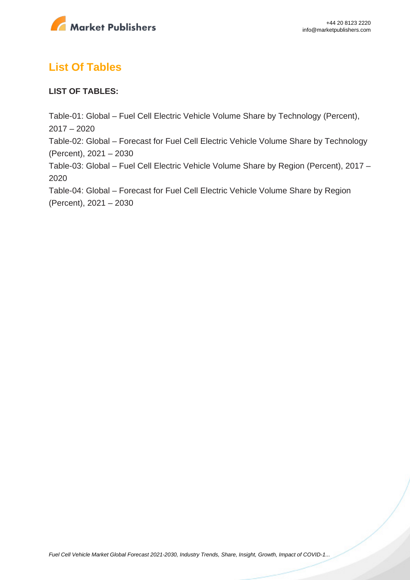

# **List Of Tables**

#### **LIST OF TABLES:**

Table-01: Global – Fuel Cell Electric Vehicle Volume Share by Technology (Percent), 2017 – 2020 Table-02: Global – Forecast for Fuel Cell Electric Vehicle Volume Share by Technology (Percent), 2021 – 2030 Table-03: Global – Fuel Cell Electric Vehicle Volume Share by Region (Percent), 2017 – 2020 Table-04: Global – Forecast for Fuel Cell Electric Vehicle Volume Share by Region (Percent), 2021 – 2030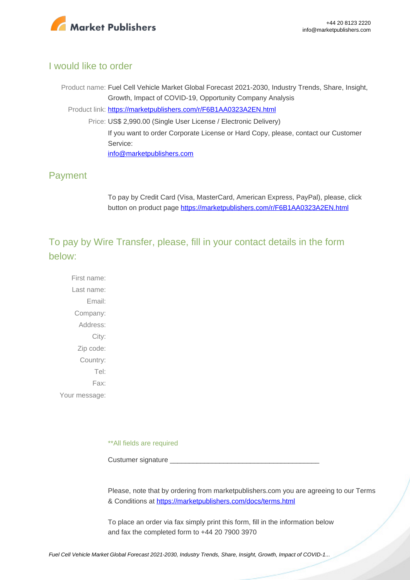

#### I would like to order

Product name: Fuel Cell Vehicle Market Global Forecast 2021-2030, Industry Trends, Share, Insight, Growth, Impact of COVID-19, Opportunity Company Analysis Product link: [https://marketpublishers.com/r/F6B1AA0323A2EN.html](https://marketpublishers.com/report/other_vehicle/fuel-cell-vehicle-market-global-forecast-2021-2030-industry-trends-share-insight-growth-impact-of-covid-19-opportunity-company-analysis.html) Price: US\$ 2,990.00 (Single User License / Electronic Delivery) If you want to order Corporate License or Hard Copy, please, contact our Customer Service: [info@marketpublishers.com](mailto:info@marketpublishers.com)

### Payment

To pay by Credit Card (Visa, MasterCard, American Express, PayPal), please, click button on product page [https://marketpublishers.com/r/F6B1AA0323A2EN.html](https://marketpublishers.com/report/other_vehicle/fuel-cell-vehicle-market-global-forecast-2021-2030-industry-trends-share-insight-growth-impact-of-covid-19-opportunity-company-analysis.html)

To pay by Wire Transfer, please, fill in your contact details in the form below:

First name: Last name: Email: Company: Address: City: Zip code: Country: Tel: Fax: Your message:

\*\*All fields are required

Custumer signature

Please, note that by ordering from marketpublishers.com you are agreeing to our Terms & Conditions at<https://marketpublishers.com/docs/terms.html>

To place an order via fax simply print this form, fill in the information below and fax the completed form to +44 20 7900 3970